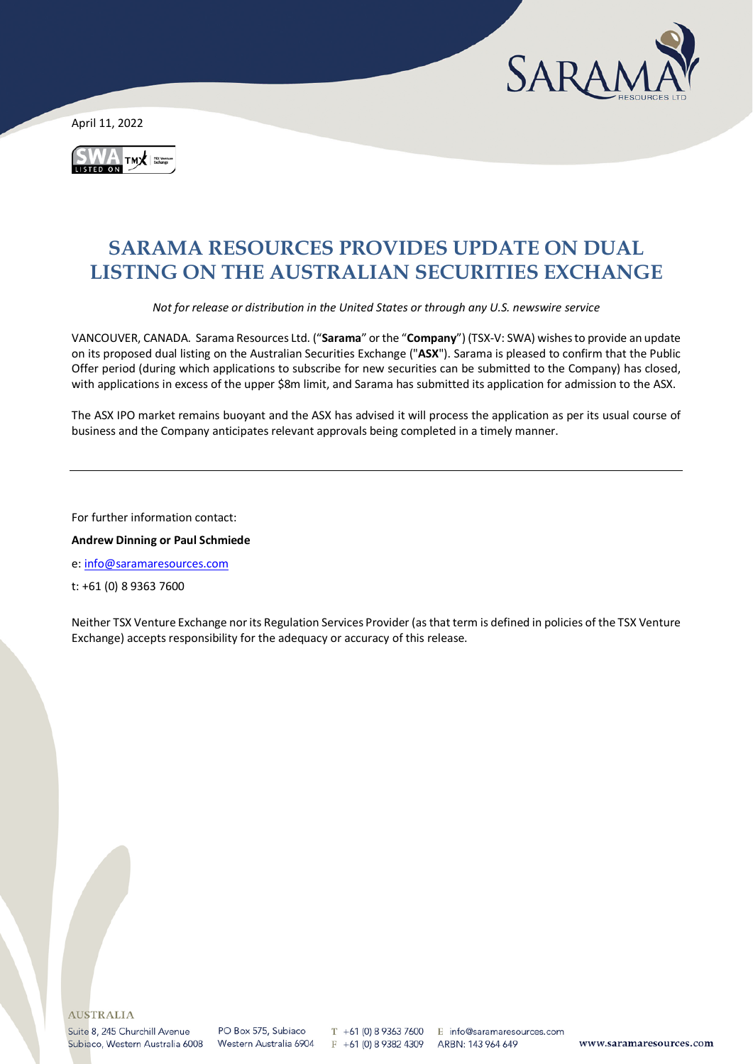

April 11, 2022



# **SARAMA RESOURCES PROVIDES UPDATE ON DUAL LISTING ON THE AUSTRALIAN SECURITIES EXCHANGE**

*Not for release or distribution in the United States or through any U.S. newswire service*

VANCOUVER, CANADA. Sarama Resources Ltd. ("**Sarama**" or the "**Company**") (TSX-V: SWA) wishes to provide an update on its proposed dual listing on the Australian Securities Exchange ("**ASX**"). Sarama is pleased to confirm that the Public Offer period (during which applications to subscribe for new securities can be submitted to the Company) has closed, with applications in excess of the upper \$8m limit, and Sarama has submitted its application for admission to the ASX.

The ASX IPO market remains buoyant and the ASX has advised it will process the application as per its usual course of business and the Company anticipates relevant approvals being completed in a timely manner.

For further information contact:

**Andrew Dinning or Paul Schmiede** 

e[: info@saramaresources.com](mailto:info@saramaresources.com)

t: +61 (0) 8 9363 7600

Neither TSX Venture Exchange nor its Regulation Services Provider (as that term is defined in policies of the TSX Venture Exchange) accepts responsibility for the adequacy or accuracy of this release.

T +61 (0) 8 9363 7600 E info@saramaresources.com F +61 (0) 8 9382 4309

ARBN: 143 964 649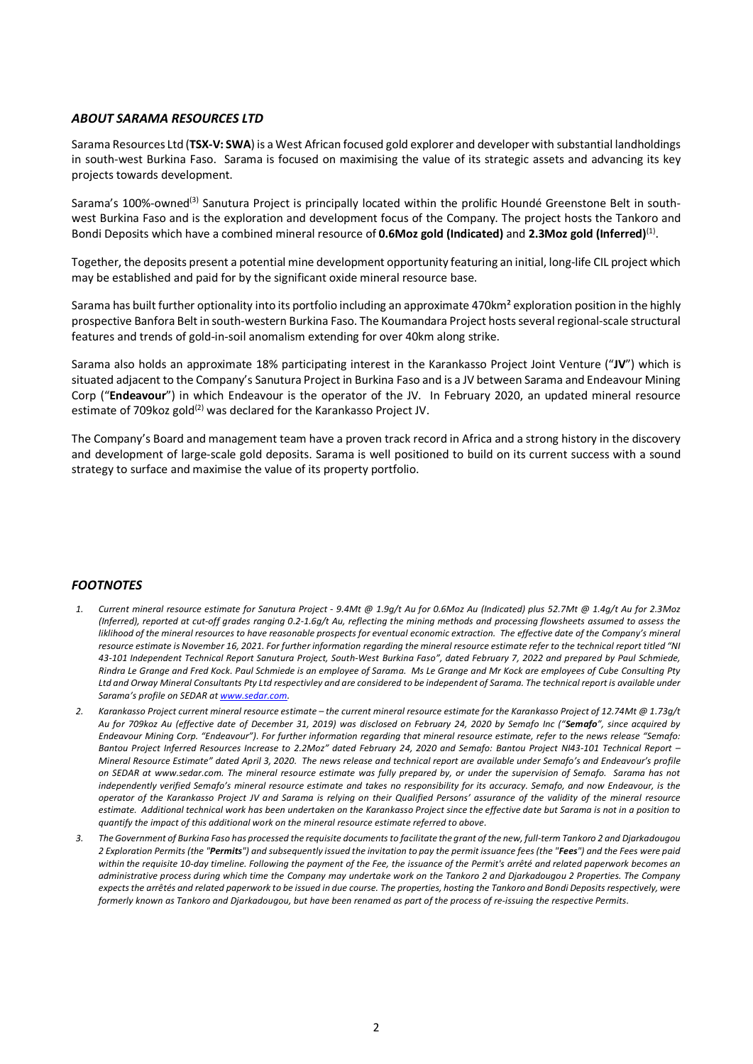### *ABOUT SARAMA RESOURCES LTD*

Sarama Resources Ltd (**TSX-V: SWA**) is a West African focused gold explorer and developer with substantial landholdings in south-west Burkina Faso. Sarama is focused on maximising the value of its strategic assets and advancing its key projects towards development.

Sarama's 100%-owned<sup>(3)</sup> Sanutura Project is principally located within the prolific Houndé Greenstone Belt in southwest Burkina Faso and is the exploration and development focus of the Company. The project hosts the Tankoro and Bondi Deposits which have a combined mineral resource of **0.6Moz gold (Indicated)** and **2.3Moz gold (Inferred)**(1).

Together, the deposits present a potential mine development opportunity featuring an initial, long-life CIL project which may be established and paid for by the significant oxide mineral resource base.

Sarama has built further optionality into its portfolio including an approximate 470km² exploration position in the highly prospective Banfora Belt in south-western Burkina Faso. The Koumandara Project hosts several regional-scale structural features and trends of gold-in-soil anomalism extending for over 40km along strike.

Sarama also holds an approximate 18% participating interest in the Karankasso Project Joint Venture ("**JV**") which is situated adjacent to the Company's Sanutura Project in Burkina Faso and is a JV between Sarama and Endeavour Mining Corp ("**Endeavour**") in which Endeavour is the operator of the JV. In February 2020, an updated mineral resource estimate of 709 koz gold<sup>(2)</sup> was declared for the Karankasso Project JV.

The Company's Board and management team have a proven track record in Africa and a strong history in the discovery and development of large-scale gold deposits. Sarama is well positioned to build on its current success with a sound strategy to surface and maximise the value of its property portfolio.

### *FOOTNOTES*

- *1. Current mineral resource estimate for Sanutura Project - 9.4Mt @ 1.9g/t Au for 0.6Moz Au (Indicated) plus 52.7Mt @ 1.4g/t Au for 2.3Moz (Inferred), reported at cut-off grades ranging 0.2-1.6g/t Au, reflecting the mining methods and processing flowsheets assumed to assess the liklihood of the mineral resources to have reasonable prospects for eventual economic extraction. The effective date of the Company's mineral resource estimate is November 16, 2021. For further information regarding the mineral resource estimate refer to the technical report titled "NI 43-101 Independent Technical Report Sanutura Project, South-West Burkina Faso", dated February 7, 2022 and prepared by Paul Schmiede, Rindra Le Grange and Fred Kock. Paul Schmiede is an employee of Sarama. Ms Le Grange and Mr Kock are employees of Cube Consulting Pty Ltd and Orway Mineral Consultants Pty Ltd respectivley and are considered to be independent of Sarama. The technical report is available under Sarama's profile on SEDAR a[t www.sedar.com.](http://www.sedar.com/)*
- *2. Karankasso Project current mineral resource estimate – the current mineral resource estimate for the Karankasso Project of 12.74Mt @ 1.73g/t Au for 709koz Au (effective date of December 31, 2019) was disclosed on February 24, 2020 by Semafo Inc ("Semafo", since acquired by Endeavour Mining Corp. "Endeavour"). For further information regarding that mineral resource estimate, refer to the news release "Semafo: Bantou Project Inferred Resources Increase to 2.2Moz" dated February 24, 2020 and Semafo: Bantou Project NI43-101 Technical Report – Mineral Resource Estimate" dated April 3, 2020. The news release and technical report are available under Semafo's and Endeavour's profile on SEDAR at [www.sedar.com.](http://www.sedar.com/) The mineral resource estimate was fully prepared by, or under the supervision of Semafo. Sarama has not independently verified Semafo's mineral resource estimate and takes no responsibility for its accuracy. Semafo, and now Endeavour, is the operator of the Karankasso Project JV and Sarama is relying on their Qualified Persons' assurance of the validity of the mineral resource estimate. Additional technical work has been undertaken on the Karankasso Project since the effective date but Sarama is not in a position to quantify the impact of this additional work on the mineral resource estimate referred to above.*
- *3. The Government of Burkina Faso has processed the requisite documents to facilitate the grant of the new, full-term Tankoro 2 and Djarkadougou 2 Exploration Permits (the "Permits") and subsequently issued the invitation to pay the permit issuance fees (the "Fees") and the Fees were paid within the requisite 10-day timeline. Following the payment of the Fee, the issuance of the Permit's arrêté and related paperwork becomes an administrative process during which time the Company may undertake work on the Tankoro 2 and Djarkadougou 2 Properties. The Company expects the arrêtés and related paperwork to be issued in due course. The properties, hosting the Tankoro and Bondi Deposits respectively, were formerly known as Tankoro and Djarkadougou, but have been renamed as part of the process of re-issuing the respective Permits.*